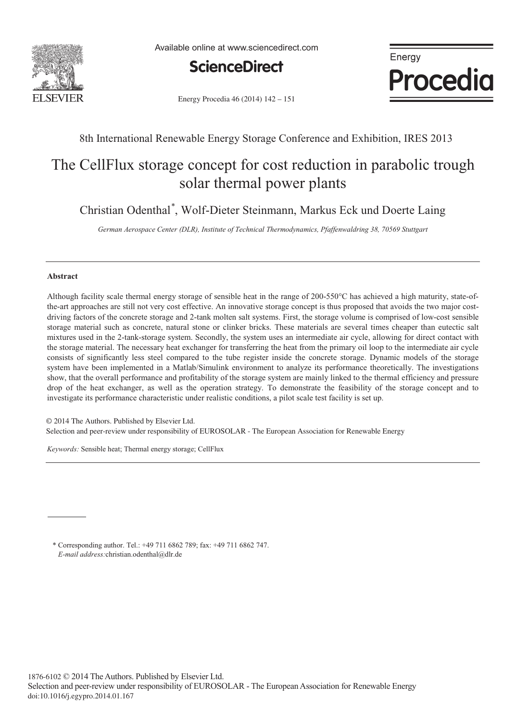

Available online at www.sciencedirect.com





Energy Procedia 46 (2014) 142 - 151

### 8th International Renewable Energy Storage Conference and Exhibition, IRES 2013

## The CellFlux storage concept for cost reduction in parabolic trough solar thermal power plants

Christian Odenthal\* , Wolf-Dieter Steinmann, Markus Eck und Doerte Laing

*German Aerospace Center (DLR), Institute of Technical Thermodynamics, Pfaffenwaldring 38, 70569 Stuttgart*

#### **Abstract**

Although facility scale thermal energy storage of sensible heat in the range of 200-550°C has achieved a high maturity, state-ofthe-art approaches are still not very cost effective. An innovative storage concept is thus proposed that avoids the two major costdriving factors of the concrete storage and 2-tank molten salt systems. First, the storage volume is comprised of low-cost sensible storage material such as concrete, natural stone or clinker bricks. These materials are several times cheaper than eutectic salt mixtures used in the 2-tank-storage system. Secondly, the system uses an intermediate air cycle, allowing for direct contact with the storage material. The necessary heat exchanger for transferring the heat from the primary oil loop to the intermediate air cycle consists of significantly less steel compared to the tube register inside the concrete storage. Dynamic models of the storage system have been implemented in a Matlab/Simulink environment to analyze its performance theoretically. The investigations show, that the overall performance and profitability of the storage system are mainly linked to the thermal efficiency and pressure drop of the heat exchanger, as well as the operation strategy. To demonstrate the feasibility of the storage concept and to investigate its performance characteristic under realistic conditions, a pilot scale test facility is set up.

© 2014 The Authors. Published by Elsevier Ltd. © 2014 The Authors. Published by Elsevier Ltd. Selection and peer-review under responsibility of EUROSOLAR - The European Association for Renewable Energy. Selection and peer-review under responsibility of EUROSOLAR - The European Association for Renewable Energy

*Keywords:* Sensible heat; Thermal energy storage; CellFlux

\* Corresponding author. Tel.: +49 711 6862 789; fax: +49 711 6862 747. *E-mail address:*christian.odenthal@dlr.de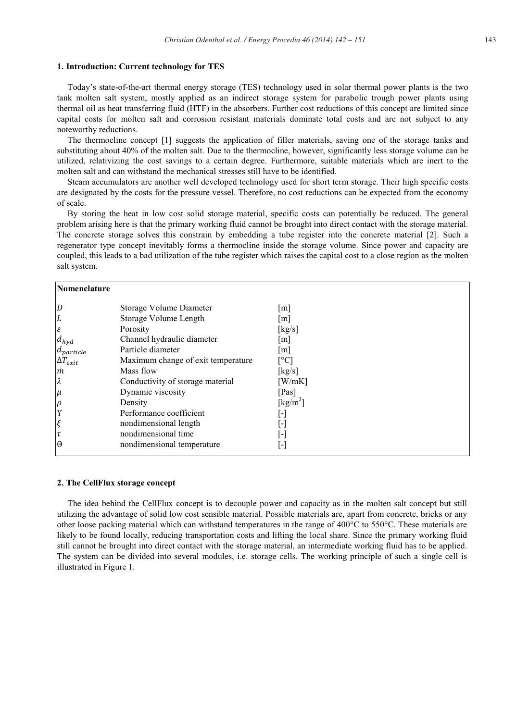#### **1. Introduction: Current technology for TES**

Today's state-of-the-art thermal energy storage (TES) technology used in solar thermal power plants is the two tank molten salt system, mostly applied as an indirect storage system for parabolic trough power plants using thermal oil as heat transferring fluid (HTF) in the absorbers. Further cost reductions of this concept are limited since capital costs for molten salt and corrosion resistant materials dominate total costs and are not subject to any noteworthy reductions.

The thermocline concept [1] suggests the application of filler materials, saving one of the storage tanks and substituting about 40% of the molten salt. Due to the thermocline, however, significantly less storage volume can be utilized, relativizing the cost savings to a certain degree. Furthermore, suitable materials which are inert to the molten salt and can withstand the mechanical stresses still have to be identified.

Steam accumulators are another well developed technology used for short term storage. Their high specific costs are designated by the costs for the pressure vessel. Therefore, no cost reductions can be expected from the economy of scale.

By storing the heat in low cost solid storage material, specific costs can potentially be reduced. The general problem arising here is that the primary working fluid cannot be brought into direct contact with the storage material. The concrete storage solves this constrain by embedding a tube register into the concrete material [2]. Such a regenerator type concept inevitably forms a thermocline inside the storage volume. Since power and capacity are coupled, this leads to a bad utilization of the tube register which raises the capital cost to a close region as the molten salt system.

| Nomenclature      |                                    |                   |
|-------------------|------------------------------------|-------------------|
| $\overline{D}$    | Storage Volume Diameter            | m                 |
| L<br>$\epsilon$   | Storage Volume Length<br>Porosity  | m <br>[kg/s]      |
| $d_{hyd}$         | Channel hydraulic diameter         | m                 |
| $d_{particle}$    | Particle diameter                  | $\lceil m \rceil$ |
| $\Delta T_{exit}$ | Maximum change of exit temperature | [°C]              |
| $\dot m$          | Mass flow                          | [kg/s]            |
| $\lambda$         | Conductivity of storage material   | [W/mK]            |
| $\mu$             | Dynamic viscosity                  | [Pas]             |
| $\rho$            | Density                            | [ $kg/m^3$ ]      |
| $\Upsilon$        | Performance coefficient            | H                 |
| $\xi$             | nondimensional length              | ŀ١                |
| $\tau$            | nondimensional time                | H                 |
| 10                | nondimensional temperature         | ŀ.                |

#### **2. The CellFlux storage concept**

The idea behind the CellFlux concept is to decouple power and capacity as in the molten salt concept but still utilizing the advantage of solid low cost sensible material. Possible materials are, apart from concrete, bricks or any other loose packing material which can withstand temperatures in the range of 400°C to 550°C. These materials are likely to be found locally, reducing transportation costs and lifting the local share. Since the primary working fluid still cannot be brought into direct contact with the storage material, an intermediate working fluid has to be applied. The system can be divided into several modules, i.e. storage cells. The working principle of such a single cell is illustrated in Figure 1.